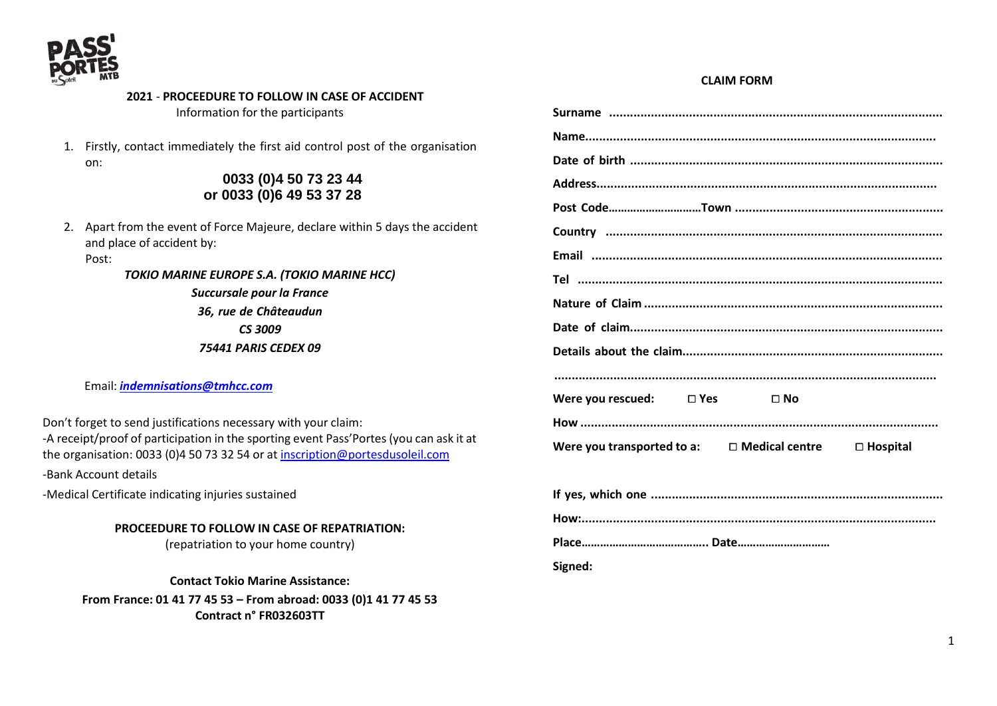

#### **2021** - **PROCEEDURE TO FOLLOW IN CASE OF ACCIDENT** Information for the participants

1. Firstly, contact immediately the first aid control post of the organisation on:

# **0033 (0)4 50 73 23 44 or 0033 (0)6 49 53 37 28**

2. Apart from the event of Force Majeure, declare within 5 days the accident and place of accident by:

## Post:

*TOKIO MARINE EUROPE S.A. (TOKIO MARINE HCC) Succursale pour la France 36, rue de Châteaudun*

#### *CS 3009*

*75441 PARIS CEDEX 09*

Email: *[indemnisations@tmhcc.com](mailto:indemnisations@tmhcc.com)*

Don't forget to send justifications necessary with your claim: -A receipt/proof of participation in the sporting event Pass'Portes (you can ask it at the organisation: 0033 (0)4 50 73 32 54 or at [inscription@portesdusoleil.com](mailto:inscription@portesdusoleil.com)

-Bank Account details

-Medical Certificate indicating injuries sustained

## **PROCEEDURE TO FOLLOW IN CASE OF REPATRIATION:**

(repatriation to your home country)

**Contact Tokio Marine Assistance:**

**From France: 01 41 77 45 53 – From abroad: 0033 (0)1 41 77 45 53 Contract n° FR032603TT**

# **Surname ................................................................................................ Name..................................................................................................... Date of birth .......................................................................................... Address.................................................................................................. Post Code…………………………Town ............................................................ Country ................................................................................................. Email ..................................................................................................... Tel ......................................................................................................... Nature of Claim ...................................................................................... Date of claim.......................................................................................... Details about the claim........................................................................... .............................................................................................................. Were you rescued:** ⧠ **Yes** ⧠ **No How ....................................................................................................... Were you transported to a:** ⧠ **Medical centre** ⧠ **Hospital If yes, which one .................................................................................... How:...................................................................................................... Place………………………………….. Date………………………… Signed:**

**CLAIM FORM**